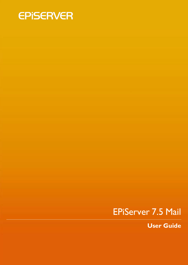

# EPiServer 7.5 Mail

**User Guide**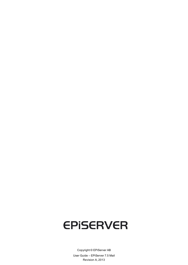# **EPISERVER**

Copyright © EPiServer AB User Guide – EPiServer 7.5 Mail Revision A, 2013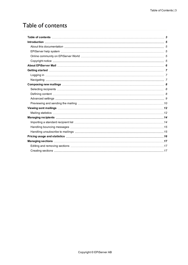# <span id="page-2-0"></span>Table of contents

| Pricing usage and statistics measurement contains the control of the state of the control of the control of the control of the control of the control of the control of the control of the control of the control of the contr |  |
|--------------------------------------------------------------------------------------------------------------------------------------------------------------------------------------------------------------------------------|--|
| Managing sections with the continuum control of the Managing sections with the control of the Managing sections                                                                                                                |  |
|                                                                                                                                                                                                                                |  |
|                                                                                                                                                                                                                                |  |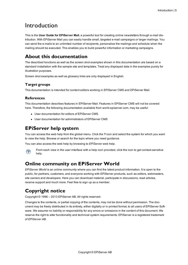# <span id="page-4-0"></span>Introduction

This is the **User Guide for EPiServer Mail**, a powerful tool for creating online newsletters through e-mail distribution. With EPiServer Mail you can easily handle small, targeted e-mail campaigns or larger mailings. You can send the e-mails to an unlimited number of recipients, personalize the mailings and schedule when the mailing should be executed. This enables you to build powerful information or marketing campaigns.

## <span id="page-4-1"></span>**About this documentation**

The described functions as well as the screen shot examples shown in this documentation are based on a standard installation with the sample site and templates. Treat any displayed data in the examples purely for illustration purposes.

Screen shot examples as well as glossary links are only displayed in English.

#### **Target groups**

This documentation is intended for content editors working in EPiServer CMS and EPiServer Mail.

#### **References**

This documentation describes features in EPiServer Mail. Features in EPiServer CMS will not be covered here. Therefore, the following documentation available from world.episerver.com, may be useful:

- User documentation for editors of EPiServer CMS.
- User documentation for administrators of EPiServer CMS

## <span id="page-4-2"></span>**EPiServer help system**

You can access the web help from the global menu. Click the **?** icon and select the system for which you want to view the help. Browse or search for the topic where you need guidance.

You can also access the web help by browsing to *[EPiServer](http://webhelp.episerver.com/) web help*.



From each view in the user interface with a help icon provided, click the icon to get context-sensitive help.

## <span id="page-4-3"></span>**Online community on EPiServer World**

*[EPiServer](http://world.episerver.com/) World* is an online community where you can find the latest product information. It is open to the public, for partners, customers, and everyone working with EPiServer products, such as editors, webmasters, site owners and developers. Here you can download material, participate in discussions, read articles, receive support and much more. Feel free to sign up as a member.

## <span id="page-4-4"></span>**Copyright notice**

Copyright © 1996 – 2013 EPiServer AB. All rights reserved.

Changes to the contents, or partial copying of the contents, may not be done without permission. The document may be freely distributed in its entirety, either digitally or in printed format, to all users of EPiServer Software. We assume no liability or responsibility for any errors or omissions in the content of this document. We reserve the right to alter functionality and technical system requirements. EPiServer is a registered trademark of *[EPiServer](http://www.episerver.com/) AB*.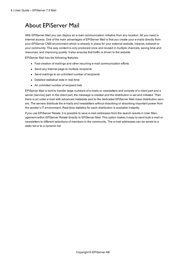# <span id="page-5-0"></span>About EPiServer Mail

With EPiServer Mail you can deploy an e-mail communication initiative from any location: All you need is Internet access. One of the main advantages of EPiServer Mail is that you create your e-mails directly from your EPiServer CMS environment which is already in place for your external website, intranet, extranet or your community. This way content is only produced once and reused in multiple channels, saving time and resources, and improving quality. It also ensures that traffic is driven to the website.

EPiServer Mail has the following features:

- Fast creation of mailings and other recurring e-mail communication efforts
- Send any Internet page to multiple recipients
- Send mailings to an unlimited number of recipients
- Detailed statistical data in real-time
- An unlimited number of recipient lists

EPiServer Mail is built to handle large numbers of e-mails or newsletters and consists of a client part and a server (service) part. In the client part, the message is created and the distribution is set and initiated. Then there is an order e-mail with advanced metadata sent to the dedicated EPiServer Mail mass distribution servers. The servers distribute the e-mails and newsletters without disturbing or absorbing important power from the sender's IT environment. Real-time statistics for each distribution is available instantly.

If you use EPiServer Relate, it is possible to save e-mail addresses from the search results in User Management within EPiServer Relate directly to EPiServer Mail. This option makes it easy to send bulk e-mail or newsletters to different selections of members in the community. The e-mail addresses can be saved to a static list or to a dynamic list.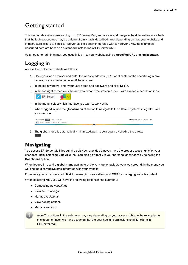## <span id="page-6-0"></span>Getting started

This section describes how you log in to EPiServer Mail, and access and navigate the different features. Note that the login procedures may be different from what is described here, depending on how your website and infrastructure is set up. Since EPiServer Mail is closely integrated with EPiServer CMS, the examples described here are based on a standard installation of EPiServer CMS.

<span id="page-6-1"></span>As an editor or administrator, you usually log in to your website using a **specified URL** or a **log in button**.

## **Logging in**

Access the EPiServer website as follows:

- 1. Open your web browser and enter the website address (URL) applicable for the specific login procedure, or click the login button if there is one.
- 2. In the login window, enter your user name and password and click **Log in**.
- 3. In the top right corner, click the arrow to expand the welcome menu with available access options.



- 4. In the menu, select which interface you want to work with.
- 5. When logged in, use the **global menu** at the top to navigate to the different systems integrated with your website.

| Dashboard CMS CMO Add-ons                      | EPISERVER 7 2 4 Q |
|------------------------------------------------|-------------------|
| Edit Admin Reports Visitor Groups Live Monitor |                   |

6. The global menu is automatically minimized, pull it down again by clicking the arrow.  $\lfloor$   $\star$   $\rfloor$ 

## <span id="page-6-2"></span>**Navigating**

You access EPiServer Mail through the edit view, provided that you have the proper access rights for your user account by selecting **Edit View**. You can also go directly to your personal dashboard by selecting the **Dashboard** option.

When logged in, use the **global menu** available at the very top to navigate your way around. In the menu you will find the different systems integrated with your website.

From here you can access both **Mail** for managing newsletters, and **CMS** for managing website content.

When selecting **Mail**, you will have the following options in the submenu:

- <sup>l</sup> Composing *new [mailings](#page-7-0)*
- <sup>l</sup> View *sent [mailings](#page-11-0)*
- <sup>l</sup> Manage *[recipients](#page-13-0)*
- **.** View *[pricing](#page-15-0)* options
- <sup>l</sup> Manage *[sections](#page-16-0)*

**Note** The options in the submenu may vary depending on your access rights. In the examples in this documentation we have assumed that the user has full permissions to all functions in EPiServer Mail.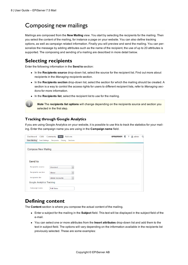# <span id="page-7-0"></span>Composing new mailings

Mailings are composed from the **New Mailing** view. You start by selecting the recipients for the mailing. Then you select the content of the mailing, for instance a page on your website. You can also define tracking options, as well as campaign related information. Finally you will preview and send the mailing. You can personalize the message by adding attributes such as the name of the recipient, the use of up to 20 attributes is supported. The composing and sending of a mailing are described in more detail below.

## <span id="page-7-1"></span>**Selecting recipients**

Enter the following information in the **Send to** section:

- **.** In the **Recipients source** drop-down list, select the source for the recipient list. Find out more about recipients in the *[Managing](#page-13-0) recipients* section.
- **In the Recipients section** drop-down list, select the section for which the mailing should be created. A section is a way to control the access rights for users to different recipient lists, refer to *Managing sections* for more [information.](#page-16-0)
- In the **Recipients list**, select the recipient list to use for the mailing.



*Note* The **recipients list options** will change depending on the recipients source and section you selected in the first step.

#### **Tracking through Google Analytics**

If you are using Google Analytics on your website, it is possible to use this to track the statistics for your mailing. Enter the campaign name you are using in the **Campaign name** field.

| Dashboard<br><b>CMS</b>                    | <b>Mail</b><br>Add-ons<br>Community | <b>EPISERVER</b> | ? | $\triangle$ admin | Q |
|--------------------------------------------|-------------------------------------|------------------|---|-------------------|---|
| <b>New Mailing</b><br><b>Sent Mailings</b> | Recipients<br>Pricing<br>Sections   |                  |   |                   |   |
|                                            |                                     |                  |   |                   |   |
| <b>Compose New Mailing</b>                 |                                     |                  |   |                   |   |
|                                            |                                     |                  |   |                   |   |
|                                            |                                     |                  |   |                   |   |
| Send to                                    |                                     |                  |   |                   |   |
| Recipients source                          | Standard                            |                  |   |                   |   |
|                                            |                                     |                  |   |                   |   |
| Recipients section                         | Global<br>$\overline{\phantom{a}}$  |                  |   |                   |   |
| Recipients list                            | Global Accounts                     |                  |   |                   |   |
| <b>Google Analytics Tracking</b>           |                                     |                  |   |                   |   |
| Campaign name                              | <b>Fall Sales</b>                   |                  |   |                   |   |

#### <span id="page-7-2"></span>**Defining content**

The **Content** section is where you compose the actual content of the mailing.

- **Enter a subject for the mailing in the Subject field. This text will be displayed in the subject field of the** e-mail.
- <sup>l</sup> You can select one or more attributes from the **Insert attributes** drop-down list and add them to the text in subject field. The options will vary depending on the information available in the recipients list previously selected. These are some examples: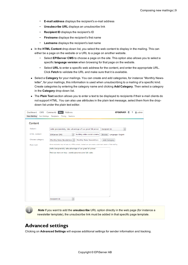- **E-mail address** displays the recipient's e-mail address
- **Unsubscribe URL** displays an unsubscribe link
- **Recipient ID** displays the recipient's ID
- **Firstname** displays the recipient's first name
- **Lastname** displays the recipient's last name  $\overline{\phantom{a}}$
- In the **HTML Content** drop-down list, you select the web content to display in the mailing. This can either be a page on the website or a URL to a page on another website.
	- Select **EPiServer CMS** to choose a page on the site. This option also allows you to select a specific **language version** when browsing for that page on the website.
	- Select **URL** to enter a specific web address for the content, and enter the appropriate URL. Click **Fetch** to validate the URL and make sure that it is available.
- Select a **Category** for your mailings. You can create and add categories, for instance "Monthly Newsletter", for your mailings, this information is used when unsubscribing to a mailing of a specific kind. Create categories by entering the category name and clicking **Add Category**. Then select a category in the **Category** drop-down list.
- The Plain Text section allows you to enter a text to be displayed to recipients if their e-mail clients do not support HTML. You can also use attributes in the plain text message, select them from the dropdown list under the plain text editor.

| Dashboard<br><b>CMS</b> | Community<br>Add-ons<br><b>Mail</b>                                                                       | EPISERVER ®              | ? Ladmin |
|-------------------------|-----------------------------------------------------------------------------------------------------------|--------------------------|----------|
| <b>New Mailing</b>      | Sent Mailings Recipients<br>Pricing Sections                                                              |                          |          |
| Content                 |                                                                                                           |                          |          |
| Subject                 | Hello §recipientId§, take advantage of our great fall prices!<br>Recipient ID                             | $\overline{\phantom{a}}$ |          |
| HTML content            | $\ddot{}$<br>Building online social commu<br>EPiServer CMS<br>Language: English<br>Browse                 |                          |          |
| Choose category         | Monthly Sales Newsletters +<br>Monthly Sales Newsletters<br>Add Category                                  |                          |          |
| Plain text              | Some recipients may not see any HTML content, instead you can create a plain text version of the mailing. |                          |          |
|                         | Hello §recipientId§, take advantage of our great fall prices!                                             |                          |          |
|                         | Find out more on http://world.episerver.com/fall-sales                                                    |                          |          |
|                         |                                                                                                           |                          |          |
|                         |                                                                                                           |                          |          |
|                         |                                                                                                           |                          |          |
|                         |                                                                                                           |                          |          |
|                         |                                                                                                           |                          |          |
|                         |                                                                                                           |                          |          |
|                         |                                                                                                           |                          |          |
|                         |                                                                                                           |                          |          |
|                         |                                                                                                           |                          |          |
|                         |                                                                                                           |                          |          |
|                         | $\overline{\phantom{a}}$<br>Recipient ID                                                                  |                          |          |

*Note* If you want to add the **unsubscribe** URL option directly in the web page (for instance a newsletter template), the unsubscribe link must be added in that specific page template.

#### <span id="page-8-0"></span>**Advanced settings**

Clicking on **Advanced Settings** will expose additional settings for sender information and tracking.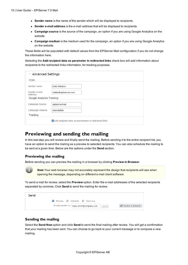- **.** Sender name is the name of the sender which will be displayed to recipients.
- <sup>l</sup> **Sender e-mail address** is the e-mail address that will be displayed to recipients.
- **Campaign source** is the source of the campaign, an option if you are using Google Analytics on the website.
- **Campaign medium** is the medium used for the campaign, an option if you are using Google Analytics on the website.

These fields will be populated with default values from the EPiServer Mail configuration if you do not change the information here.

Selecting the **Add recipient data as parameter in redirected links** check box will add information about recipients to the redirected links information, for tracking purposes.

|                           | ∨ Advanced Settings                                  |  |  |  |  |  |  |
|---------------------------|------------------------------------------------------|--|--|--|--|--|--|
| From                      |                                                      |  |  |  |  |  |  |
| Sender name               | Daily Relate+                                        |  |  |  |  |  |  |
| Sender e-mail<br>address  | relate@episerver.com                                 |  |  |  |  |  |  |
| Google Analytics Tracking |                                                      |  |  |  |  |  |  |
| Campaign Source           | episervermail                                        |  |  |  |  |  |  |
| Campaign medium           | newsletter                                           |  |  |  |  |  |  |
| Tracking                  |                                                      |  |  |  |  |  |  |
|                           | Add recipient data as parameters in redirected links |  |  |  |  |  |  |

#### <span id="page-9-0"></span>**Previewing and sending the mailing**

In this last step you will review and finally send the mailing. Before sending it to the entire recipient list, you have an option to send the mailing as a preview to selected recipients. You can also schedule the mailing to be sent at a given time. Below are the options under the **Send** section.

#### **Previewing the mailing**

Before sending you can preview the mailing in a browser by clicking **Preview in Browser**.

**Note** Your web browser may not accurately represent the design that recipients will see when opening the message, depending on different e-mail client software.

To send a mail for review, select the **Preview** option. Enter the e-mail addresses of the selected recipients separated by commas. Click **Send** to send the mailing for review.

| Send                            |                                                    |                    |
|---------------------------------|----------------------------------------------------|--------------------|
| O Preview O Schedule O Send now |                                                    |                    |
|                                 | E-mail preview to:   mary.smith@company.com   Send | Preview in Browser |

#### **Sending the mailing**

Select the **Send Now** option and click **Send** to send the final mailing after review. You will get a confirmation that your mailing has been sent. You can choose to go back to your current message or to compose a new mailing.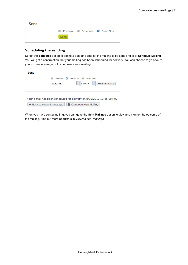| Send |                                         |  |
|------|-----------------------------------------|--|
|      | O Preview O Schedule O Send Now<br>Send |  |

#### **Scheduling the sending**

Select the **Schedule** option to define a date and time for the mailing to be sent, and click **Schedule Mailing**. You will get a confirmation that your mailing has been scheduled for delivery. You can choose to go back to your current message or to compose a new mailing.

| Send |                                                                                                  |
|------|--------------------------------------------------------------------------------------------------|
|      | Preview C Schedule C Send Now<br>o                                                               |
|      | Schedule Mailing<br>8/26/2012<br>8:00 AM<br>$\overline{\phantom{a}}$<br>$\overline{\phantom{a}}$ |
|      |                                                                                                  |

Your e-mail has been scheduled for delivery on 8/30/2012 12:45:00 PM.

+ Back to current message | | | Compose New Mailing |

When you have sent a mailing, you can go to the **Sent Mailings** option to view and monitor the outcome of the mailing. Find out more about this in *Viewing sent [mailings](#page-11-0)*.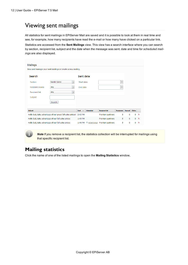# <span id="page-11-0"></span>Viewing sent mailings

All statistics for sent mailings in EPiServer Mail are saved and it is possible to look at them in real time and see, for example, how many recipients have read the e-mail or how many have clicked on a particular link.

Statistics are accessed from the **Sent Mailings** view. This view has a search interface where you can search by section, recipient list, subject and the date when the message was sent. date and time for *[scheduled](#page-7-0) mailings* are also displayed.

| Mailings                                                    |                                                                   |             |                          |                  |                            |                   |               |               |              |  |
|-------------------------------------------------------------|-------------------------------------------------------------------|-------------|--------------------------|------------------|----------------------------|-------------------|---------------|---------------|--------------|--|
| View and manage your sent mailings or create a new mailing. |                                                                   |             |                          |                  |                            |                   |               |               |              |  |
| Search                                                      |                                                                   |             |                          | Sent date        |                            |                   |               |               |              |  |
| Section                                                     | <b>Nordic Sales</b>                                               |             | Start date               |                  |                            | ٠                 |               |               |              |  |
| Recipient source                                            | Any<br>$\overline{\phantom{a}}$                                   |             | End date                 |                  |                            | ٠                 |               |               |              |  |
| <b>Recipient list</b>                                       | Any<br>$\overline{\phantom{a}}$                                   |             |                          |                  |                            |                   |               |               |              |  |
| Subject                                                     |                                                                   |             |                          |                  |                            |                   |               |               |              |  |
|                                                             | Search                                                            |             |                          |                  |                            |                   |               |               |              |  |
|                                                             |                                                                   |             |                          |                  |                            |                   |               |               |              |  |
| <b>Subject</b>                                              |                                                                   | <b>Sent</b> | $\overline{\phantom{a}}$ | <b>Scheduled</b> | <b>Recipient list</b>      | <b>Recipients</b> | <b>Opened</b> | <b>Clicks</b> |              |  |
|                                                             | Hello §a§, take advantage of our great fall sales prices! 2:42 PM |             |                          |                  | Premium partners           | 5                 | $\Omega$      | $\Omega$      | $\times$     |  |
|                                                             | Hello §a§, take advantage of our fall sales prices                | 1:49 PM     |                          |                  | Premium partners           | 5                 | 0             |               | $0 \times$   |  |
|                                                             | Hello §a§, take advantage of our fall sales prices                | $1:46$ PM   |                          |                  | 8/26/2012 Premium partners | 5                 | $\bf{0}$      | $\Omega$      | $\mathsf{x}$ |  |

**Note** If you remove a recipient list, the statistics collection will be interrupted for mailings using that specific recipient list.

#### <span id="page-11-1"></span>**Mailing statistics**

Click the name of one of the listed mailings to open the **Mailing Statistics** window,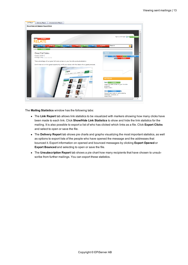

The **Mailing Statistics** window has the following tabs:

- The Link Report tab allows link statistics to be visualized with markers showing how many clicks have been made to each link. Click **Show/Hide Link Statistics** to show and hide the link statistics for the mailing. It is also possible to export a list of who has clicked which links as a file. Click **Export Clicks** and select to open or save the file.
- <sup>l</sup> The **Delivery Report** tab shows pie charts and graphs visualizing the most important statistics, as well as options to export lists of the people who have opened the message and the addresses that bounced it. Export information on opened and bounced messages by clicking **Export Opened** or **Export Bounced** and selecting to open or save the file.
- **The Unsubscription Report** tab shows a pie chart how many recipients that have chosen to unsubscribe from further mailings. You can export these statistics.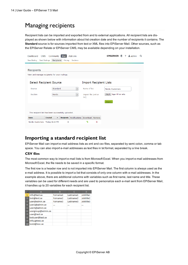# <span id="page-13-0"></span>Managing recipients

Recipient lists can be imported and exported from and to external applications. All recipient lists are displayed as shown below with information about list creation date and the number of recipients it contains. The **Standard** source is for sources imported from text or XML files into EPiServer Mail. Other sources, such as the EPiServer Relate or EPiServer CMS, may be available depending on your installation.

| Dashboard<br><b>CMS</b>                            | Community                                  | <b>Mail</b>       | Add-ons                  |                     |                               | EPISERVER                    |  | $\blacktriangle$ admin | Q |
|----------------------------------------------------|--------------------------------------------|-------------------|--------------------------|---------------------|-------------------------------|------------------------------|--|------------------------|---|
| <b>Sent Mailings</b><br>New Mailing                | <b>Recipients</b>                          | Pricing           | Sections                 |                     |                               |                              |  |                        |   |
|                                                    |                                            |                   |                          |                     |                               |                              |  |                        |   |
| <b>Recipients</b>                                  |                                            |                   |                          |                     |                               |                              |  |                        |   |
| View and manage recipients for your mailings.      |                                            |                   |                          |                     |                               |                              |  |                        |   |
|                                                    |                                            |                   |                          |                     |                               |                              |  |                        |   |
| <b>Select Recipient Source</b>                     |                                            |                   |                          |                     | <b>Import Recipient Lists</b> |                              |  |                        |   |
| Source                                             | Standard                                   |                   | $\overline{\phantom{a}}$ | Name of list        |                               | Nordic Customers             |  |                        |   |
| Section                                            | Nordic                                     |                   | $\overline{\phantom{a}}$ | Import file (xml or |                               | Välj fil Ingen fil har valts |  |                        |   |
|                                                    |                                            |                   |                          | txt)                |                               |                              |  |                        |   |
|                                                    |                                            |                   |                          |                     |                               | Import                       |  |                        |   |
|                                                    |                                            |                   |                          |                     |                               |                              |  |                        |   |
| The recipient list has been successfully uploaded. |                                            |                   |                          |                     |                               |                              |  |                        |   |
| <b>Name</b>                                        | <b>Created</b><br>$\overline{\phantom{a}}$ | <b>Recipients</b> | <b>Notifications</b>     | <b>Download</b>     | Remove                        |                              |  |                        |   |
| Nordic Customers Today 8:23 PM                     |                                            | $\mathbf 0$       |                          | Ð                   | ×                             |                              |  |                        |   |
|                                                    |                                            |                   |                          |                     |                               |                              |  |                        |   |

## <span id="page-13-1"></span>**Importing a standard recipient list**

EPiServer Mail can import e-mail address lists as xml and csv files, separated by semi colon, comma or tab space. You can also import e-mail addresses as text files in txt format, separated by a line break.

#### **CSV files**

The most common way to import e-mail lists is from Microsoft Excel. When you import e-mail addresses from Microsoft Excel, the file needs to be saved in a specific format.

The first row is a header row and is not imported into EPiServer Mail. The first column is always used as the e-mail address. It is possible to import a list that consists of only one column with e-mail addresses. In the example above, there are additional columns with variables such as first name, last name and title. These variables can be used for different needs and are used to personalize each e-mail sent from EPiServer Mail, it handles up to 20 variables for each recipient list.

|                | A                  | B        |           | D                     |
|----------------|--------------------|----------|-----------|-----------------------|
| 1              | info@test.se       | Forname1 | Lastname1 | Jobtitle1             |
| $\overline{2}$ | test@test.se       | Forname2 | Lastname2 | lobtitle <sub>2</sub> |
| 3              | user@admin.se      | Forname3 | Lastname3 | Jobtitle3             |
| 4              | user2@admin.se     |          |           |                       |
| 5              | user3@admin.se     |          |           |                       |
| $6\phantom{1}$ | usergroup@admin.se |          |           |                       |
| 7              | user@test.se       |          |           |                       |
| 8              | testuser@test.se   |          |           |                       |
| 9              | info2@test.se      |          |           |                       |
| 10             | test2@test.se      |          |           |                       |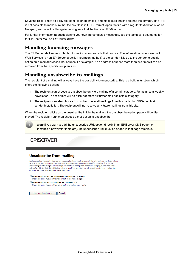Save the Excel sheet as a csv file (semi-colon delimited) and make sure that the file has the format UTF-8. If it is not possible to make sure that the csv file is in UTF-8 format, open the file with a regular text editor, such as Notepad, and save the file again making sure that the file is in UTF-8 format.

For further information about designing your own personalized messages, see the technical documentation for EPiServer Mail on *[EPiServer](http://world.episerver.com/) World*.

#### <span id="page-14-0"></span>**Handling bouncing messages**

The EPiServer Mail server collects information about e-mails that bounce. The information is delivered with Web Services (a non-EPiServer specific integration method) to the sender. It is up to the sender to decide action on e-mail addresses that bounce. For example, if an address bounces more than two times it can be removed from that specific recipients list.

## <span id="page-14-1"></span>**Handling unsubscribe to mailings**

The recipient of a mailing will always have the possibility to unsubscribe. This is a built-in function, which offers the following options:

- 1. The recipient can choose to unsubscribe only to a mailing of a certain category, for instance a weekly newsletter. The recipient will be excluded from all further mailings of this category.
- 2. The recipient can also choose to unsubscribe to all mailings from this particular EPiServer Mail sender installation. The recipient will not receive any future mailings from this site.

When the recipient clicks on the unsubscribe link in the mailing, the unsubscribe option page will be displayed. The recipient can then choose either option to unsubscribe.

**Note** If you want to add the unsubscribe URL option directly in an EPiServer CMS page (for instance a newsletter template), the unsubscribe link must be added in that page template.

**EPISERVER** 

#### **Unsubscribe from mailing**

You have reached this page by clicking on an unsubscription link in a mailing you would like to be excluded from in the future. Here below you have two options; being unsubscribed from a mailing category or from all future mailings from this site Unsubscribing from the category will exclude you from all future mailings from that specific category, but not from other mailings from this site that might still be interesting to you. If you know that you will not be interested in any mailings from this site in the future, you can choose the second option

© Unsubscribe me from the mailing category Monthly Tech News Choose this option if you want to unsubscribe from the mailing category.

 $\bigcirc$  Unsubscribe me from all mailings from the global site Choose this option if you want to unsubscribe from all mailings from the site.

Yes, unsubscribe me Cancel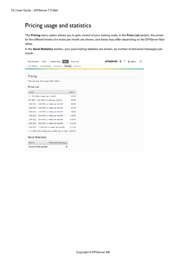# <span id="page-15-0"></span>Pricing usage and statistics

The **Pricing** menu option allows you to gain control of your mailing costs. In the **Price List** section, the prices for the different levels of e-mails per month are shown, and these may differ depending on the EPiServer Mail setup.

In the **Send Statistics** section, your past mailing statistics are shown, as number of delivered messages per month.

| Dashboard                    | Community<br><b>Mail</b><br><b>CMS</b>           | Add-ons                    | EPISERVER ® |  | ? Ladmin | Q |
|------------------------------|--------------------------------------------------|----------------------------|-------------|--|----------|---|
| New Mailing                  | <b>Sent Mailings</b><br>Recipients               | Pricing<br><b>Sections</b> |             |  |          |   |
|                              |                                                  |                            |             |  |          |   |
| Pricing                      |                                                  |                            |             |  |          |   |
|                              | View pricing and usage information.              |                            |             |  |          |   |
| <b>Price List</b>            |                                                  |                            |             |  |          |   |
| Level                        |                                                  | <b>Price</b>               |             |  |          |   |
| 0 - 50 000 e-mails per month |                                                  | €200                       |             |  |          |   |
|                              | 50 001 - 100 000 e-mails per month               | €360                       |             |  |          |   |
|                              | 100 001 - 200 000 e-mails per month              | €620                       |             |  |          |   |
|                              | 200 001 - 300 000 e-mails per month              | €770                       |             |  |          |   |
|                              | 300 001 - 400 000 e-mails per month              | €820                       |             |  |          |   |
|                              | 400 001 - 500 000 e-mails per month              | €870                       |             |  |          |   |
|                              | 500 001 - 650 000 e-mails per month              | €1000                      |             |  |          |   |
|                              | 650 001 - 800 000 e-mails per month              | €1100                      |             |  |          |   |
|                              | 800 001 - 1 000 000 e-mails per month            | €1400                      |             |  |          |   |
|                              | > 1 000 000 e-mails per month, per e-mail €0.001 |                            |             |  |          |   |
| <b>Send Statistics</b>       |                                                  |                            |             |  |          |   |
| Month                        | Delivered Messages                               |                            |             |  |          |   |
| <b>Total in this period</b>  | 0                                                |                            |             |  |          |   |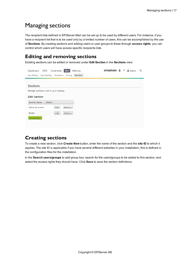# <span id="page-16-0"></span>Managing sections

The recipient lists defined in EPiServer Mail can be set up to be used by different users. For instance, if you have a recipient list that is to be used only by a limited number of users, this can be accomplished by the use of **Sections**. By creating sections and adding users or user groups to these through **access rights**, you can control which users will have access specific recipients lists.

#### <span id="page-16-1"></span>**Editing and removing sections**

Existing sections can be edited or removed under **Edit Section** in the **Sections** view.

| <b>Mail</b><br>Add-ons<br>Community<br>Dashboard<br><b>CMS</b>                  | Q<br><b>EPISERVER</b><br>? $\triangle$ admin<br>$\circ$ |  |  |  |  |  |  |  |  |  |  |  |  |
|---------------------------------------------------------------------------------|---------------------------------------------------------|--|--|--|--|--|--|--|--|--|--|--|--|
| <b>Sections</b><br><b>Sent Mailings</b><br>Pricing<br>New Mailing<br>Recipients |                                                         |  |  |  |  |  |  |  |  |  |  |  |  |
|                                                                                 |                                                         |  |  |  |  |  |  |  |  |  |  |  |  |
| <b>Sections</b>                                                                 |                                                         |  |  |  |  |  |  |  |  |  |  |  |  |
| Manage sections used in your mailings.                                          |                                                         |  |  |  |  |  |  |  |  |  |  |  |  |
| <b>Edit Section</b>                                                             |                                                         |  |  |  |  |  |  |  |  |  |  |  |  |
| <b>Section Name</b><br><b>SiteID</b>                                            |                                                         |  |  |  |  |  |  |  |  |  |  |  |  |
| Global Accounts<br>Edit<br>Remove                                               |                                                         |  |  |  |  |  |  |  |  |  |  |  |  |
| Edit<br>Nordic<br>Remove                                                        |                                                         |  |  |  |  |  |  |  |  |  |  |  |  |
| Create New                                                                      |                                                         |  |  |  |  |  |  |  |  |  |  |  |  |
|                                                                                 |                                                         |  |  |  |  |  |  |  |  |  |  |  |  |
|                                                                                 |                                                         |  |  |  |  |  |  |  |  |  |  |  |  |

## <span id="page-16-2"></span>**Creating sections**

To create a new section, click **Create New** button, enter the name of the section and the **site ID** to which it applies. The site ID is applicable if you have several different websites in your installation, this is defined in the configuration files for the installation.

In the **Search users/groups** to add group box, search for the users/groups to be added to this section, and select the access rights they should have. Click **Save** to save the section definitions.